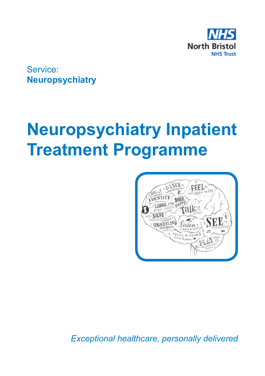

Service: **Neuropsychiatry**

# **Neuropsychiatry Inpatient Treatment Programme**



*Exceptional healthcare, personally delivered*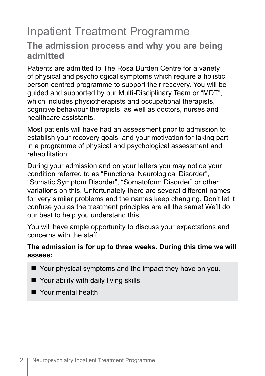# Inpatient Treatment Programme

#### **The admission process and why you are being admitted**

Patients are admitted to The Rosa Burden Centre for a variety of physical and psychological symptoms which require a holistic, person-centred programme to support their recovery. You will be guided and supported by our Multi-Disciplinary Team or "MDT", which includes physiotherapists and occupational therapists, cognitive behaviour therapists, as well as doctors, nurses and healthcare assistants.

Most patients will have had an assessment prior to admission to establish your recovery goals, and your motivation for taking part in a programme of physical and psychological assessment and rehabilitation.

During your admission and on your letters you may notice your condition referred to as "Functional Neurological Disorder", "Somatic Symptom Disorder", "Somatoform Disorder" or other variations on this. Unfortunately there are several different names for very similar problems and the names keep changing. Don't let it confuse you as the treatment principles are all the same! We'll do our best to help you understand this.

You will have ample opportunity to discuss your expectations and concerns with the staff.

#### **The admission is for up to three weeks. During this time we will assess:**

- $\blacksquare$  Your physical symptoms and the impact they have on you.
- $\blacksquare$  Your ability with daily living skills
- **Nour mental health**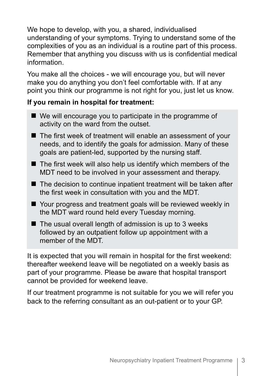We hope to develop, with you, a shared, individualised understanding of your symptoms. Trying to understand some of the complexities of you as an individual is a routine part of this process. Remember that anything you discuss with us is confidential medical information.

You make all the choices - we will encourage you, but will never make you do anything you don't feel comfortable with. If at any point you think our programme is not right for you, just let us know.

#### **If you remain in hospital for treatment:**

- $\blacksquare$  We will encourage you to participate in the programme of activity on the ward from the outset.
- $\blacksquare$  The first week of treatment will enable an assessment of your needs, and to identify the goals for admission. Many of these goals are patient-led, supported by the nursing staff.
- $\blacksquare$  The first week will also help us identify which members of the MDT need to be involved in your assessment and therapy.
- $\blacksquare$  The decision to continue inpatient treatment will be taken after the first week in consultation with you and the MDT.
- Your progress and treatment goals will be reviewed weekly in the MDT ward round held every Tuesday morning.
- $\blacksquare$  The usual overall length of admission is up to 3 weeks followed by an outpatient follow up appointment with a member of the MDT.

It is expected that you will remain in hospital for the first weekend: thereafter weekend leave will be negotiated on a weekly basis as part of your programme. Please be aware that hospital transport cannot be provided for weekend leave.

If our treatment programme is not suitable for you we will refer you back to the referring consultant as an out-patient or to your GP.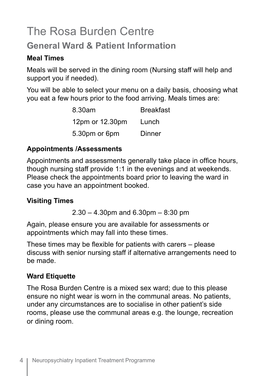# The Rosa Burden Centre

### **General Ward & Patient Information**

#### **Meal Times**

Meals will be served in the dining room (Nursing staff will help and support you if needed).

You will be able to select your menu on a daily basis, choosing what you eat a few hours prior to the food arriving. Meals times are:

| 8.30am          | <b>Breakfast</b> |
|-----------------|------------------|
| 12pm or 12.30pm | Lunch            |
| 5.30pm or 6pm   | Dinner           |

#### **Appointments /Assessments**

Appointments and assessments generally take place in office hours, though nursing staff provide 1:1 in the evenings and at weekends. Please check the appointments board prior to leaving the ward in case you have an appointment booked.

#### **Visiting Times**

2.30 – 4.30pm and 6.30pm – 8:30 pm

Again, please ensure you are available for assessments or appointments which may fall into these times.

These times may be flexible for patients with carers – please discuss with senior nursing staff if alternative arrangements need to be made.

#### **Ward Etiquette**

The Rosa Burden Centre is a mixed sex ward; due to this please ensure no night wear is worn in the communal areas. No patients, under any circumstances are to socialise in other patient's side rooms, please use the communal areas e.g. the lounge, recreation or dining room.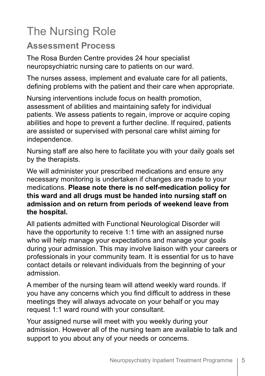# The Nursing Role

#### **Assessment Process**

The Rosa Burden Centre provides 24 hour specialist neuropsychiatric nursing care to patients on our ward.

The nurses assess, implement and evaluate care for all patients, defining problems with the patient and their care when appropriate.

Nursing interventions include focus on health promotion, assessment of abilities and maintaining safety for individual patients. We assess patients to regain, improve or acquire coping abilities and hope to prevent a further decline. If required, patients are assisted or supervised with personal care whilst aiming for independence.

Nursing staff are also here to facilitate you with your daily goals set by the therapists.

We will administer your prescribed medications and ensure any necessary monitoring is undertaken if changes are made to your medications. **Please note there is no self-medication policy for this ward and all drugs must be handed into nursing staff on admission and on return from periods of weekend leave from the hospital.**

All patients admitted with Functional Neurological Disorder will have the opportunity to receive 1:1 time with an assigned nurse who will help manage your expectations and manage your goals during your admission. This may involve liaison with your careers or professionals in your community team. It is essential for us to have contact details or relevant individuals from the beginning of your admission.

A member of the nursing team will attend weekly ward rounds. If you have any concerns which you find difficult to address in these meetings they will always advocate on your behalf or you may request 1:1 ward round with your consultant.

Your assigned nurse will meet with you weekly during your admission. However all of the nursing team are available to talk and support to you about any of your needs or concerns.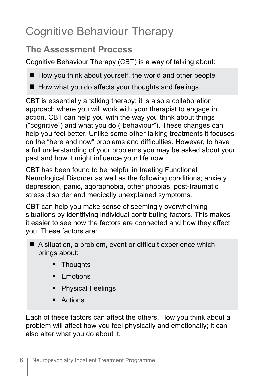# Cognitive Behaviour Therapy

### **The Assessment Process**

Cognitive Behaviour Therapy (CBT) is a way of talking about:

 $\blacksquare$  How you think about yourself, the world and other people

 $\blacksquare$  How what you do affects your thoughts and feelings

CBT is essentially a talking therapy; it is also a collaboration approach where you will work with your therapist to engage in action. CBT can help you with the way you think about things ("cognitive") and what you do ("behaviour"). These changes can help you feel better. Unlike some other talking treatments it focuses on the "here and now" problems and difficulties. However, to have a full understanding of your problems you may be asked about your past and how it might influence your life now.

CBT has been found to be helpful in treating Functional Neurological Disorder as well as the following conditions; anxiety, depression, panic, agoraphobia, other phobias, post-traumatic stress disorder and medically unexplained symptoms.

CBT can help you make sense of seemingly overwhelming situations by identifying individual contributing factors. This makes it easier to see how the factors are connected and how they affect you. These factors are:

- $\blacksquare$  A situation, a problem, event or difficult experience which brings about;
	- **Thoughts**
	- **Emotions**
	- **Physical Feelings**
	- **Actions**

Each of these factors can affect the others. How you think about a problem will affect how you feel physically and emotionally; it can also alter what you do about it.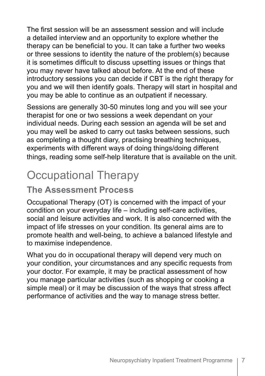The first session will be an assessment session and will include a detailed interview and an opportunity to explore whether the therapy can be beneficial to you. It can take a further two weeks or three sessions to identity the nature of the problem(s) because it is sometimes difficult to discuss upsetting issues or things that you may never have talked about before. At the end of these introductory sessions you can decide if CBT is the right therapy for you and we will then identify goals. Therapy will start in hospital and you may be able to continue as an outpatient if necessary.

Sessions are generally 30-50 minutes long and you will see your therapist for one or two sessions a week dependant on your individual needs. During each session an agenda will be set and you may well be asked to carry out tasks between sessions, such as completing a thought diary, practising breathing techniques, experiments with different ways of doing things/doing different things, reading some self-help literature that is available on the unit.

# Occupational Therapy

### **The Assessment Process**

Occupational Therapy (OT) is concerned with the impact of your condition on your everyday life – including self-care activities, social and leisure activities and work. It is also concerned with the impact of life stresses on your condition. Its general aims are to promote health and well-being, to achieve a balanced lifestyle and to maximise independence.

What you do in occupational therapy will depend very much on your condition, your circumstances and any specific requests from your doctor. For example, it may be practical assessment of how you manage particular activities (such as shopping or cooking a simple meal) or it may be discussion of the ways that stress affect performance of activities and the way to manage stress better.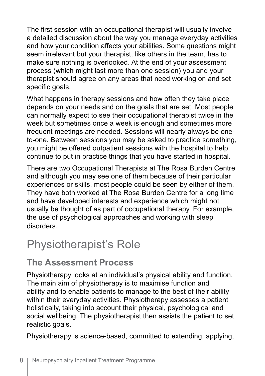The first session with an occupational therapist will usually involve a detailed discussion about the way you manage everyday activities and how your condition affects your abilities. Some questions might seem irrelevant but your therapist, like others in the team, has to make sure nothing is overlooked. At the end of your assessment process (which might last more than one session) you and your therapist should agree on any areas that need working on and set specific goals.

What happens in therapy sessions and how often they take place depends on your needs and on the goals that are set. Most people can normally expect to see their occupational therapist twice in the week but sometimes once a week is enough and sometimes more frequent meetings are needed. Sessions will nearly always be oneto-one. Between sessions you may be asked to practice something, you might be offered outpatient sessions with the hospital to help continue to put in practice things that you have started in hospital.

There are two Occupational Therapists at The Rosa Burden Centre and although you may see one of them because of their particular experiences or skills, most people could be seen by either of them. They have both worked at The Rosa Burden Centre for a long time and have developed interests and experience which might not usually be thought of as part of occupational therapy. For example, the use of psychological approaches and working with sleep disorders.

### Physiotherapist's Role

### **The Assessment Process**

Physiotherapy looks at an individual's physical ability and function. The main aim of physiotherapy is to maximise function and ability and to enable patients to manage to the best of their ability within their everyday activities. Physiotherapy assesses a patient holistically, taking into account their physical, psychological and social wellbeing. The physiotherapist then assists the patient to set realistic goals.

Physiotherapy is science-based, committed to extending, applying,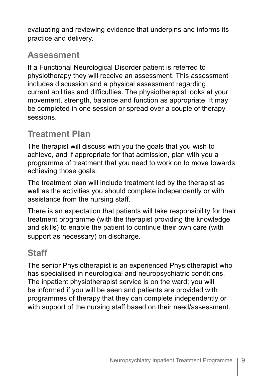evaluating and reviewing evidence that underpins and informs its practice and delivery.

### **Assessment**

If a Functional Neurological Disorder patient is referred to physiotherapy they will receive an assessment. This assessment includes discussion and a physical assessment regarding current abilities and difficulties. The physiotherapist looks at your movement, strength, balance and function as appropriate. It may be completed in one session or spread over a couple of therapy sessions.

### **Treatment Plan**

The therapist will discuss with you the goals that you wish to achieve, and if appropriate for that admission, plan with you a programme of treatment that you need to work on to move towards achieving those goals.

The treatment plan will include treatment led by the therapist as well as the activities you should complete independently or with assistance from the nursing staff.

There is an expectation that patients will take responsibility for their treatment programme (with the therapist providing the knowledge and skills) to enable the patient to continue their own care (with support as necessary) on discharge.

### **Staff**

The senior Physiotherapist is an experienced Physiotherapist who has specialised in neurological and neuropsychiatric conditions. The inpatient physiotherapist service is on the ward; you will be informed if you will be seen and patients are provided with programmes of therapy that they can complete independently or with support of the nursing staff based on their need/assessment.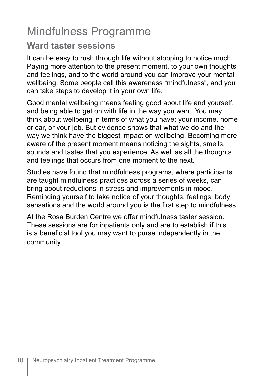# Mindfulness Programme

#### **Ward taster sessions**

It can be easy to rush through life without stopping to notice much. Paying more attention to the present moment, to your own thoughts and feelings, and to the world around you can improve your mental wellbeing. Some people call this awareness "mindfulness", and you can take steps to develop it in your own life.

Good mental wellbeing means feeling good about life and yourself, and being able to get on with life in the way you want. You may think about wellbeing in terms of what you have; your income, home or car, or your job. But evidence shows that what we do and the way we think have the biggest impact on wellbeing. Becoming more aware of the present moment means noticing the sights, smells, sounds and tastes that you experience. As well as all the thoughts and feelings that occurs from one moment to the next.

Studies have found that mindfulness programs, where participants are taught mindfulness practices across a series of weeks, can bring about reductions in stress and improvements in mood. Reminding yourself to take notice of your thoughts, feelings, body sensations and the world around you is the first step to mindfulness.

At the Rosa Burden Centre we offer mindfulness taster session. These sessions are for inpatients only and are to establish if this is a beneficial tool you may want to purse independently in the community.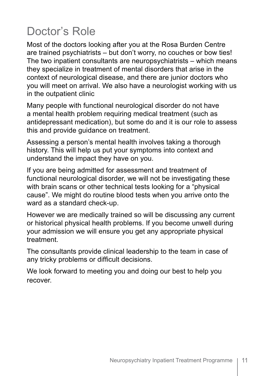# Doctor's Role

Most of the doctors looking after you at the Rosa Burden Centre are trained psychiatrists – but don't worry, no couches or bow ties! The two inpatient consultants are neuropsychiatrists – which means they specialize in treatment of mental disorders that arise in the context of neurological disease, and there are junior doctors who you will meet on arrival. We also have a neurologist working with us in the outpatient clinic

Many people with functional neurological disorder do not have a mental health problem requiring medical treatment (such as antidepressant medication), but some do and it is our role to assess this and provide guidance on treatment.

Assessing a person's mental health involves taking a thorough history. This will help us put your symptoms into context and understand the impact they have on you.

If you are being admitted for assessment and treatment of functional neurological disorder, we will not be investigating these with brain scans or other technical tests looking for a "physical cause". We might do routine blood tests when you arrive onto the ward as a standard check-up.

However we are medically trained so will be discussing any current or historical physical health problems. If you become unwell during your admission we will ensure you get any appropriate physical treatment.

The consultants provide clinical leadership to the team in case of any tricky problems or difficult decisions.

We look forward to meeting you and doing our best to help you recover.